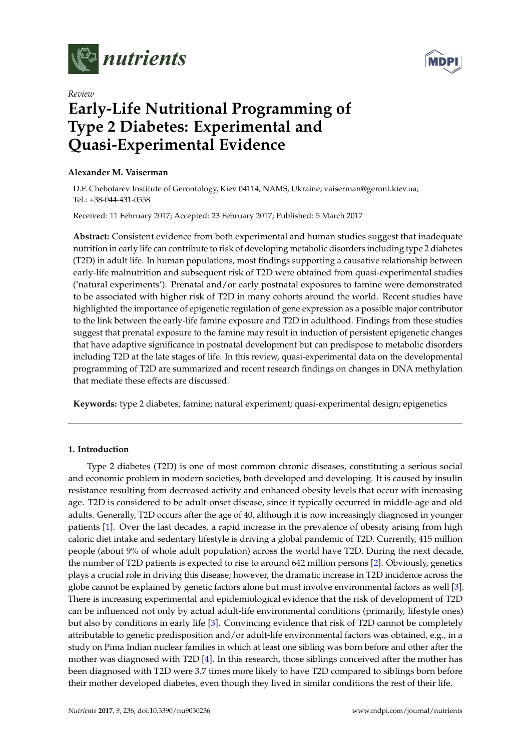



# *Review* **Early-Life Nutritional Programming of Type 2 Diabetes: Experimental and Quasi-Experimental Evidence**

# **Alexander M. Vaiserman**

D.F. Chebotarev Institute of Gerontology, Kiev 04114, NAMS, Ukraine; vaiserman@geront.kiev.ua; Tel.: +38-044-431-0558

Received: 11 February 2017; Accepted: 23 February 2017; Published: 5 March 2017

**Abstract:** Consistent evidence from both experimental and human studies suggest that inadequate nutrition in early life can contribute to risk of developing metabolic disorders including type 2 diabetes (T2D) in adult life. In human populations, most findings supporting a causative relationship between early-life malnutrition and subsequent risk of T2D were obtained from quasi-experimental studies ('natural experiments'). Prenatal and/or early postnatal exposures to famine were demonstrated to be associated with higher risk of T2D in many cohorts around the world. Recent studies have highlighted the importance of epigenetic regulation of gene expression as a possible major contributor to the link between the early-life famine exposure and T2D in adulthood. Findings from these studies suggest that prenatal exposure to the famine may result in induction of persistent epigenetic changes that have adaptive significance in postnatal development but can predispose to metabolic disorders including T2D at the late stages of life. In this review, quasi-experimental data on the developmental programming of T2D are summarized and recent research findings on changes in DNA methylation that mediate these effects are discussed.

**Keywords:** type 2 diabetes; famine; natural experiment; quasi-experimental design; epigenetics

# **1. Introduction**

Type 2 diabetes (T2D) is one of most common chronic diseases, constituting a serious social and economic problem in modern societies, both developed and developing. It is caused by insulin resistance resulting from decreased activity and enhanced obesity levels that occur with increasing age. T2D is considered to be adult-onset disease, since it typically occurred in middle-age and old adults. Generally, T2D occurs after the age of 40, although it is now increasingly diagnosed in younger patients [\[1\]](#page-10-0). Over the last decades, a rapid increase in the prevalence of obesity arising from high caloric diet intake and sedentary lifestyle is driving a global pandemic of T2D. Currently, 415 million people (about 9% of whole adult population) across the world have T2D. During the next decade, the number of T2D patients is expected to rise to around 642 million persons [\[2\]](#page-10-1). Obviously, genetics plays a crucial role in driving this disease; however, the dramatic increase in T2D incidence across the globe cannot be explained by genetic factors alone but must involve environmental factors as well [\[3\]](#page-10-2). There is increasing experimental and epidemiological evidence that the risk of development of T2D can be influenced not only by actual adult-life environmental conditions (primarily, lifestyle ones) but also by conditions in early life [\[3\]](#page-10-2). Convincing evidence that risk of T2D cannot be completely attributable to genetic predisposition and/or adult-life environmental factors was obtained, e.g., in a study on Pima Indian nuclear families in which at least one sibling was born before and other after the mother was diagnosed with T2D [\[4\]](#page-11-0). In this research, those siblings conceived after the mother has been diagnosed with T2D were 3.7 times more likely to have T2D compared to siblings born before their mother developed diabetes, even though they lived in similar conditions the rest of their life.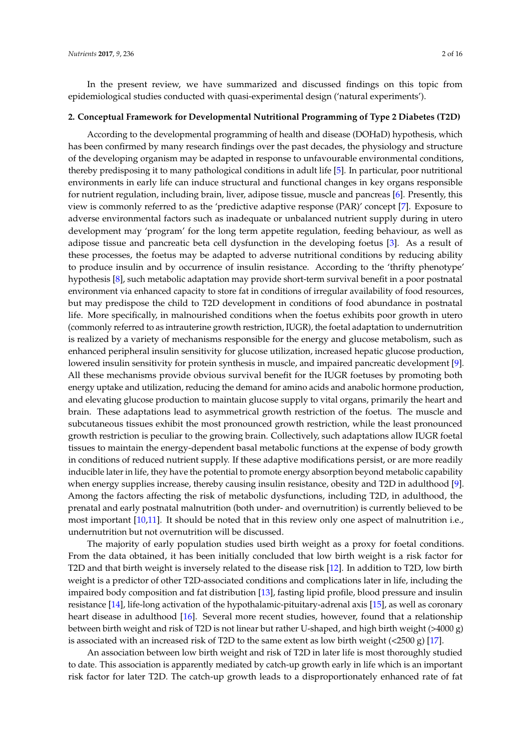In the present review, we have summarized and discussed findings on this topic from epidemiological studies conducted with quasi-experimental design ('natural experiments').

#### **2. Conceptual Framework for Developmental Nutritional Programming of Type 2 Diabetes (T2D)**

According to the developmental programming of health and disease (DOHaD) hypothesis, which has been confirmed by many research findings over the past decades, the physiology and structure of the developing organism may be adapted in response to unfavourable environmental conditions, thereby predisposing it to many pathological conditions in adult life [\[5\]](#page-11-1). In particular, poor nutritional environments in early life can induce structural and functional changes in key organs responsible for nutrient regulation, including brain, liver, adipose tissue, muscle and pancreas [\[6\]](#page-11-2). Presently, this view is commonly referred to as the 'predictive adaptive response (PAR)' concept [\[7\]](#page-11-3). Exposure to adverse environmental factors such as inadequate or unbalanced nutrient supply during in utero development may 'program' for the long term appetite regulation, feeding behaviour, as well as adipose tissue and pancreatic beta cell dysfunction in the developing foetus [\[3\]](#page-10-2). As a result of these processes, the foetus may be adapted to adverse nutritional conditions by reducing ability to produce insulin and by occurrence of insulin resistance. According to the 'thrifty phenotype' hypothesis [\[8\]](#page-11-4), such metabolic adaptation may provide short-term survival benefit in a poor postnatal environment via enhanced capacity to store fat in conditions of irregular availability of food resources, but may predispose the child to T2D development in conditions of food abundance in postnatal life. More specifically, in malnourished conditions when the foetus exhibits poor growth in utero (commonly referred to as intrauterine growth restriction, IUGR), the foetal adaptation to undernutrition is realized by a variety of mechanisms responsible for the energy and glucose metabolism, such as enhanced peripheral insulin sensitivity for glucose utilization, increased hepatic glucose production, lowered insulin sensitivity for protein synthesis in muscle, and impaired pancreatic development [\[9\]](#page-11-5). All these mechanisms provide obvious survival benefit for the IUGR foetuses by promoting both energy uptake and utilization, reducing the demand for amino acids and anabolic hormone production, and elevating glucose production to maintain glucose supply to vital organs, primarily the heart and brain. These adaptations lead to asymmetrical growth restriction of the foetus. The muscle and subcutaneous tissues exhibit the most pronounced growth restriction, while the least pronounced growth restriction is peculiar to the growing brain. Collectively, such adaptations allow IUGR foetal tissues to maintain the energy-dependent basal metabolic functions at the expense of body growth in conditions of reduced nutrient supply. If these adaptive modifications persist, or are more readily inducible later in life, they have the potential to promote energy absorption beyond metabolic capability when energy supplies increase, thereby causing insulin resistance, obesity and T2D in adulthood [\[9\]](#page-11-5). Among the factors affecting the risk of metabolic dysfunctions, including T2D, in adulthood, the prenatal and early postnatal malnutrition (both under- and overnutrition) is currently believed to be most important [\[10](#page-11-6)[,11\]](#page-11-7). It should be noted that in this review only one aspect of malnutrition i.e., undernutrition but not overnutrition will be discussed.

The majority of early population studies used birth weight as a proxy for foetal conditions. From the data obtained, it has been initially concluded that low birth weight is a risk factor for T2D and that birth weight is inversely related to the disease risk [\[12\]](#page-11-8). In addition to T2D, low birth weight is a predictor of other T2D-associated conditions and complications later in life, including the impaired body composition and fat distribution [\[13\]](#page-11-9), fasting lipid profile, blood pressure and insulin resistance [\[14\]](#page-11-10), life-long activation of the hypothalamic-pituitary-adrenal axis [\[15\]](#page-11-11), as well as coronary heart disease in adulthood [\[16\]](#page-11-12). Several more recent studies, however, found that a relationship between birth weight and risk of T2D is not linear but rather U-shaped, and high birth weight (>4000 g) is associated with an increased risk of T2D to the same extent as low birth weight  $(<2500 \text{ g})$  [\[17\]](#page-11-13).

An association between low birth weight and risk of T2D in later life is most thoroughly studied to date. This association is apparently mediated by catch-up growth early in life which is an important risk factor for later T2D. The catch-up growth leads to a disproportionately enhanced rate of fat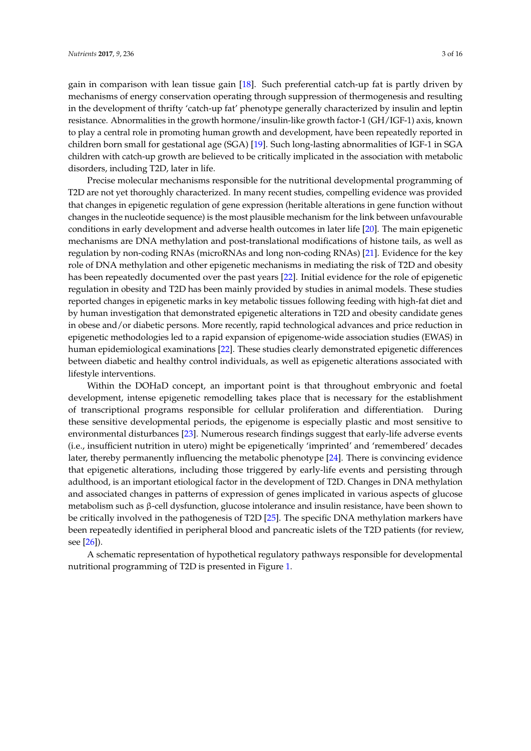gain in comparison with lean tissue gain [\[18\]](#page-11-14). Such preferential catch-up fat is partly driven by mechanisms of energy conservation operating through suppression of thermogenesis and resulting in the development of thrifty 'catch-up fat' phenotype generally characterized by insulin and leptin resistance. Abnormalities in the growth hormone/insulin-like growth factor-1 (GH/IGF-1) axis, known to play a central role in promoting human growth and development, have been repeatedly reported in children born small for gestational age (SGA) [\[19\]](#page-11-15). Such long-lasting abnormalities of IGF-1 in SGA children with catch-up growth are believed to be critically implicated in the association with metabolic disorders, including T2D, later in life.

Precise molecular mechanisms responsible for the nutritional developmental programming of T2D are not yet thoroughly characterized. In many recent studies, compelling evidence was provided that changes in epigenetic regulation of gene expression (heritable alterations in gene function without changes in the nucleotide sequence) is the most plausible mechanism for the link between unfavourable conditions in early development and adverse health outcomes in later life [\[20\]](#page-11-16). The main epigenetic mechanisms are DNA methylation and post-translational modifications of histone tails, as well as regulation by non-coding RNAs (microRNAs and long non-coding RNAs) [\[21\]](#page-11-17). Evidence for the key role of DNA methylation and other epigenetic mechanisms in mediating the risk of T2D and obesity has been repeatedly documented over the past years [\[22\]](#page-11-18). Initial evidence for the role of epigenetic regulation in obesity and T2D has been mainly provided by studies in animal models. These studies reported changes in epigenetic marks in key metabolic tissues following feeding with high-fat diet and by human investigation that demonstrated epigenetic alterations in T2D and obesity candidate genes in obese and/or diabetic persons. More recently, rapid technological advances and price reduction in epigenetic methodologies led to a rapid expansion of epigenome-wide association studies (EWAS) in human epidemiological examinations [\[22\]](#page-11-18). These studies clearly demonstrated epigenetic differences between diabetic and healthy control individuals, as well as epigenetic alterations associated with lifestyle interventions.

Within the DOHaD concept, an important point is that throughout embryonic and foetal development, intense epigenetic remodelling takes place that is necessary for the establishment of transcriptional programs responsible for cellular proliferation and differentiation. During these sensitive developmental periods, the epigenome is especially plastic and most sensitive to environmental disturbances [\[23\]](#page-11-19). Numerous research findings suggest that early-life adverse events (i.e., insufficient nutrition in utero) might be epigenetically 'imprinted' and 'remembered' decades later, thereby permanently influencing the metabolic phenotype [\[24\]](#page-11-20). There is convincing evidence that epigenetic alterations, including those triggered by early-life events and persisting through adulthood, is an important etiological factor in the development of T2D. Changes in DNA methylation and associated changes in patterns of expression of genes implicated in various aspects of glucose metabolism such as β-cell dysfunction, glucose intolerance and insulin resistance, have been shown to be critically involved in the pathogenesis of T2D [\[25\]](#page-11-21). The specific DNA methylation markers have been repeatedly identified in peripheral blood and pancreatic islets of the T2D patients (for review, see [\[26\]](#page-12-0)).

A schematic representation of hypothetical regulatory pathways responsible for developmental nutritional programming of T2D is presented in Figure [1.](#page-3-0)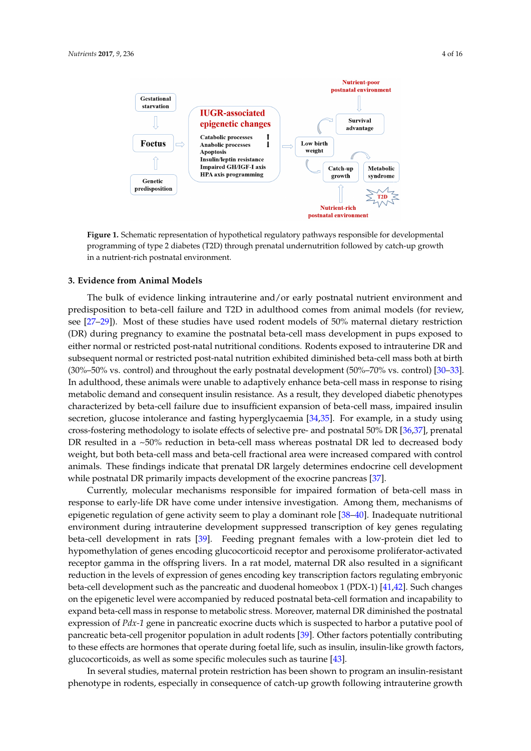<span id="page-3-0"></span>

**Figure 1.** Schematic representation of hypothetical regulatory pathways responsible for **Figure 1.** Schematic representation of hypothetical regulatory pathways responsible for developmental developmental undergramming of type 2 diabetes (T2D) through prenatal undergratition followed by co programming of type 2 diabetes (T2D) through prenatal undernutrition followed by catch-up growth in a nutrient-rich postnatal environment.

# The bulk of evidence linking intrauterine and/or early postnatal nutrient environment and **3. Evidence from Animal Models**

The bulk of evidence linking intrauterine and/or early postnatal nutrient environment and  $\sigma$  to examine the postnatal beta $\sigma$ predisposition to beta-cell failure and T2D in adulthood comes from animal models (for review, see [\[27](#page-12-1)[–29\]](#page-12-2)). Most of these studies have used rodent models of 50% maternal dietary restriction birth (30%–50%) vs. controls) and throughout throughout the early postnatal development (50%–70%) vs. control (DR) during pregnancy to examine the postnatal beta‐cell mass development in pups exposed to either normal or restricted post-natal nutritional conditions. Rodents exposed to intrauterine DR and phenotypes characterized by beta‐cell failure due to insufficient expansion of beta‐cell mass, subsequent normal or restricted post-natal nutrition exhibited diminished beta-cell mass both at birth (30%–50% vs. control) and throughout the early postnatal development (50%–70% vs. control) [\[30–](#page-12-3)[33\]](#page-12-4).  $\frac{360}{2000}$  enimals wore unable to adaptively ephanee beta cell mass in result In adulthood, these animals were unable to adaptively enhance beta-cell mass in response to rising metabolic demand and consequent insulin resistance. As a result, they developed diabetic phenotypes characterized by beta-cell failure due to insufficient expansion of beta-cell mass, impaired insulin pancreas [37]. secretion, glucose intolerance and fasting hyperglycaemia [\[34,](#page-12-5)[35\]](#page-12-6). For example, in a study using cross-fostering methodology to isolate effects of selective pre- and postnatal 50% DR [\[36,](#page-12-7)[37\]](#page-12-8), prenatal  $\begin{bmatrix} 1 & 0 & 0 & 0 \\ 0 & 0 & 0 & 0 \\ 0 & 0 & 0 & 0 \end{bmatrix}$ DR resulted in a ~50% reduction in beta-cell mass whereas postnatal DR led to decreased body weight, but both beta-cell mass and beta-cell fractional area were increased compared with control  $f_{\text{in}}$  dince indicate that nuevatel DB laugely determines end equipe cel animals. These findings indicate that prenatal DR largely determines endocrine cell development while postnatal DR primarily impacts development of the exocrine pancreas [\[37\]](#page-12-8).

employed to moch anisms responsible for impaired formation of both Currently, molecular mechanisms responsible for impaired formation of beta-cell mass in response to early-life DR have come under intensive investigation. Among them, mechanisms of epigenetic regulation of gene activity seem to play a dominant role [\[38–](#page-12-9)[40\]](#page-12-10). Inadequate nutritional environment during intrauterine development suppressed transcription of key genes regulating beta-cell development in rats [\[39\]](#page-12-11). Feeding pregnant females with a low-protein diet led to hypomethylation of genes encoding glucocorticoid receptor and peroxisome proliferator-activated receptor gamma in the offspring livers. In a rat model, maternal DR also resulted in a significant reduction in the levels of expression of genes encoding key transcription factors regulating embryonic beta-cell development such as the pancreatic and duodenal homeobox 1 (PDX-1) [\[41](#page-12-12)[,42\]](#page-12-13). Such changes on the epigenetic level were accompanied by reduced postnatal beta-cell formation and incapability to expand beta-cell mass in response to metabolic stress. Moreover, maternal DR diminished the postnatal expression of *Pdx-1* gene in pancreatic exocrine ducts which is suspected to harbor a putative pool of pancreatic beta-cell progenitor population in adult rodents [\[39\]](#page-12-11). Other factors potentially contributing to these effects are hormones that operate during foetal life, such as insulin, insulin-like growth factors, glucocorticoids, as well as some specific molecules such as taurine [\[43\]](#page-12-14).

In several studies, maternal protein restriction has been shown to program an insulin-resistant phenotype in rodents, especially in consequence of catch-up growth following intrauterine growth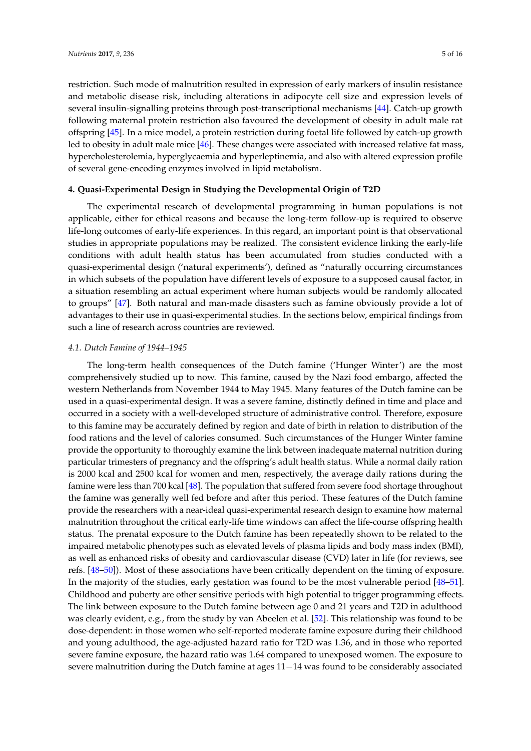restriction. Such mode of malnutrition resulted in expression of early markers of insulin resistance and metabolic disease risk, including alterations in adipocyte cell size and expression levels of several insulin-signalling proteins through post-transcriptional mechanisms [\[44\]](#page-12-15). Catch-up growth following maternal protein restriction also favoured the development of obesity in adult male rat offspring [\[45\]](#page-12-16). In a mice model, a protein restriction during foetal life followed by catch-up growth led to obesity in adult male mice [\[46\]](#page-12-17). These changes were associated with increased relative fat mass, hypercholesterolemia, hyperglycaemia and hyperleptinemia, and also with altered expression profile of several gene-encoding enzymes involved in lipid metabolism.

# **4. Quasi-Experimental Design in Studying the Developmental Origin of T2D**

The experimental research of developmental programming in human populations is not applicable, either for ethical reasons and because the long-term follow-up is required to observe life-long outcomes of early-life experiences. In this regard, an important point is that observational studies in appropriate populations may be realized. The consistent evidence linking the early-life conditions with adult health status has been accumulated from studies conducted with a quasi-experimental design ('natural experiments'), defined as "naturally occurring circumstances in which subsets of the population have different levels of exposure to a supposed causal factor, in a situation resembling an actual experiment where human subjects would be randomly allocated to groups" [\[47\]](#page-13-0). Both natural and man-made disasters such as famine obviously provide a lot of advantages to their use in quasi-experimental studies. In the sections below, empirical findings from such a line of research across countries are reviewed.

# *4.1. Dutch Famine of 1944–1945*

The long-term health consequences of the Dutch famine ('Hunger Winter') are the most comprehensively studied up to now. This famine, caused by the Nazi food embargo, affected the western Netherlands from November 1944 to May 1945. Many features of the Dutch famine can be used in a quasi-experimental design. It was a severe famine, distinctly defined in time and place and occurred in a society with a well-developed structure of administrative control. Therefore, exposure to this famine may be accurately defined by region and date of birth in relation to distribution of the food rations and the level of calories consumed. Such circumstances of the Hunger Winter famine provide the opportunity to thoroughly examine the link between inadequate maternal nutrition during particular trimesters of pregnancy and the offspring's adult health status. While a normal daily ration is 2000 kcal and 2500 kcal for women and men, respectively, the average daily rations during the famine were less than 700 kcal [\[48\]](#page-13-1). The population that suffered from severe food shortage throughout the famine was generally well fed before and after this period. These features of the Dutch famine provide the researchers with a near-ideal quasi-experimental research design to examine how maternal malnutrition throughout the critical early-life time windows can affect the life-course offspring health status. The prenatal exposure to the Dutch famine has been repeatedly shown to be related to the impaired metabolic phenotypes such as elevated levels of plasma lipids and body mass index (BMI), as well as enhanced risks of obesity and cardiovascular disease (CVD) later in life (for reviews, see refs. [\[48–](#page-13-1)[50\]](#page-13-2)). Most of these associations have been critically dependent on the timing of exposure. In the majority of the studies, early gestation was found to be the most vulnerable period [\[48–](#page-13-1)[51\]](#page-13-3). Childhood and puberty are other sensitive periods with high potential to trigger programming effects. The link between exposure to the Dutch famine between age 0 and 21 years and T2D in adulthood was clearly evident, e.g., from the study by van Abeelen et al. [\[52\]](#page-13-4). This relationship was found to be dose-dependent: in those women who self-reported moderate famine exposure during their childhood and young adulthood, the age-adjusted hazard ratio for T2D was 1.36, and in those who reported severe famine exposure, the hazard ratio was 1.64 compared to unexposed women. The exposure to severe malnutrition during the Dutch famine at ages 11−14 was found to be considerably associated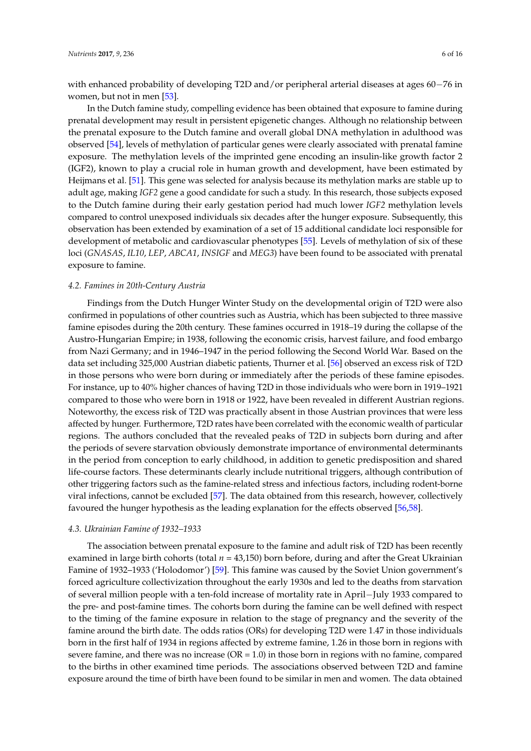with enhanced probability of developing T2D and/or peripheral arterial diseases at ages 60−76 in women, but not in men [\[53\]](#page-13-5).

In the Dutch famine study, compelling evidence has been obtained that exposure to famine during prenatal development may result in persistent epigenetic changes. Although no relationship between the prenatal exposure to the Dutch famine and overall global DNA methylation in adulthood was observed [\[54\]](#page-13-6), levels of methylation of particular genes were clearly associated with prenatal famine exposure. The methylation levels of the imprinted gene encoding an insulin-like growth factor 2 (IGF2), known to play a crucial role in human growth and development, have been estimated by Heijmans et al. [\[51\]](#page-13-3). This gene was selected for analysis because its methylation marks are stable up to adult age, making *IGF2* gene a good candidate for such a study. In this research, those subjects exposed to the Dutch famine during their early gestation period had much lower *IGF2* methylation levels compared to control unexposed individuals six decades after the hunger exposure. Subsequently, this observation has been extended by examination of a set of 15 additional candidate loci responsible for development of metabolic and cardiovascular phenotypes [\[55\]](#page-13-7). Levels of methylation of six of these loci (*GNASAS*, *IL10*, *LEP*, *ABCA1*, *INSIGF* and *MEG3*) have been found to be associated with prenatal exposure to famine.

## *4.2. Famines in 20th-Century Austria*

Findings from the Dutch Hunger Winter Study on the developmental origin of T2D were also confirmed in populations of other countries such as Austria, which has been subjected to three massive famine episodes during the 20th century. These famines occurred in 1918–19 during the collapse of the Austro-Hungarian Empire; in 1938, following the economic crisis, harvest failure, and food embargo from Nazi Germany; and in 1946–1947 in the period following the Second World War. Based on the data set including 325,000 Austrian diabetic patients, Thurner et al. [\[56\]](#page-13-8) observed an excess risk of T2D in those persons who were born during or immediately after the periods of these famine episodes. For instance, up to 40% higher chances of having T2D in those individuals who were born in 1919–1921 compared to those who were born in 1918 or 1922, have been revealed in different Austrian regions. Noteworthy, the excess risk of T2D was practically absent in those Austrian provinces that were less affected by hunger. Furthermore, T2D rates have been correlated with the economic wealth of particular regions. The authors concluded that the revealed peaks of T2D in subjects born during and after the periods of severe starvation obviously demonstrate importance of environmental determinants in the period from conception to early childhood, in addition to genetic predisposition and shared life-course factors. These determinants clearly include nutritional triggers, although contribution of other triggering factors such as the famine-related stress and infectious factors, including rodent-borne viral infections, cannot be excluded [\[57\]](#page-13-9). The data obtained from this research, however, collectively favoured the hunger hypothesis as the leading explanation for the effects observed [\[56,](#page-13-8)[58\]](#page-13-10).

#### *4.3. Ukrainian Famine of 1932–1933*

The association between prenatal exposure to the famine and adult risk of T2D has been recently examined in large birth cohorts (total *n* = 43,150) born before, during and after the Great Ukrainian Famine of 1932–1933 ('Holodomor') [\[59\]](#page-13-11). This famine was caused by the Soviet Union government's forced agriculture collectivization throughout the early 1930s and led to the deaths from starvation of several million people with a ten-fold increase of mortality rate in April−July 1933 compared to the pre- and post-famine times. The cohorts born during the famine can be well defined with respect to the timing of the famine exposure in relation to the stage of pregnancy and the severity of the famine around the birth date. The odds ratios (ORs) for developing T2D were 1.47 in those individuals born in the first half of 1934 in regions affected by extreme famine, 1.26 in those born in regions with severe famine, and there was no increase  $(OR = 1.0)$  in those born in regions with no famine, compared to the births in other examined time periods. The associations observed between T2D and famine exposure around the time of birth have been found to be similar in men and women. The data obtained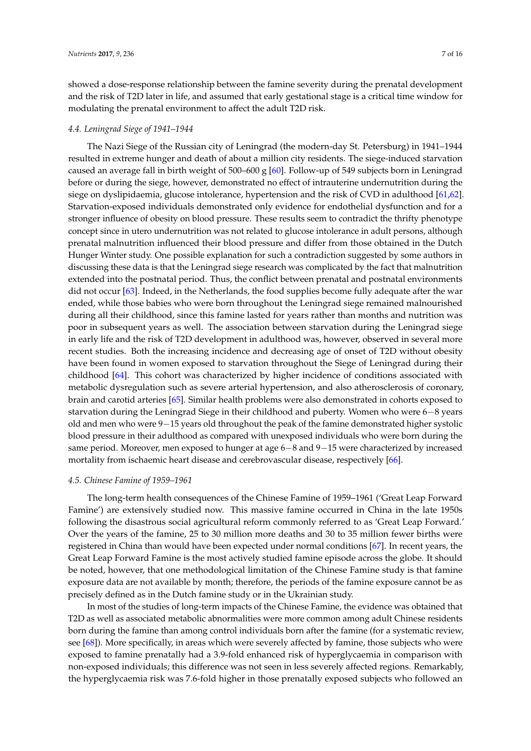showed a dose-response relationship between the famine severity during the prenatal development and the risk of T2D later in life, and assumed that early gestational stage is a critical time window for modulating the prenatal environment to affect the adult T2D risk.

### *4.4. Leningrad Siege of 1941–1944*

The Nazi Siege of the Russian city of Leningrad (the modern-day St. Petersburg) in 1941–1944 resulted in extreme hunger and death of about a million city residents. The siege-induced starvation caused an average fall in birth weight of 500–600 g [\[60\]](#page-13-12). Follow-up of 549 subjects born in Leningrad before or during the siege, however, demonstrated no effect of intrauterine undernutrition during the siege on dyslipidaemia, glucose intolerance, hypertension and the risk of CVD in adulthood [\[61,](#page-13-13)[62\]](#page-13-14). Starvation-exposed individuals demonstrated only evidence for endothelial dysfunction and for a stronger influence of obesity on blood pressure. These results seem to contradict the thrifty phenotype concept since in utero undernutrition was not related to glucose intolerance in adult persons, although prenatal malnutrition influenced their blood pressure and differ from those obtained in the Dutch Hunger Winter study. One possible explanation for such a contradiction suggested by some authors in discussing these data is that the Leningrad siege research was complicated by the fact that malnutrition extended into the postnatal period. Thus, the conflict between prenatal and postnatal environments did not occur [\[63\]](#page-13-15). Indeed, in the Netherlands, the food supplies become fully adequate after the war ended, while those babies who were born throughout the Leningrad siege remained malnourished during all their childhood, since this famine lasted for years rather than months and nutrition was poor in subsequent years as well. The association between starvation during the Leningrad siege in early life and the risk of T2D development in adulthood was, however, observed in several more recent studies. Both the increasing incidence and decreasing age of onset of T2D without obesity have been found in women exposed to starvation throughout the Siege of Leningrad during their childhood [\[64\]](#page-13-16). This cohort was characterized by higher incidence of conditions associated with metabolic dysregulation such as severe arterial hypertension, and also atherosclerosis of coronary, brain and carotid arteries [\[65\]](#page-13-17). Similar health problems were also demonstrated in cohorts exposed to starvation during the Leningrad Siege in their childhood and puberty. Women who were 6−8 years old and men who were 9−15 years old throughout the peak of the famine demonstrated higher systolic blood pressure in their adulthood as compared with unexposed individuals who were born during the same period. Moreover, men exposed to hunger at age 6−8 and 9−15 were characterized by increased mortality from ischaemic heart disease and cerebrovascular disease, respectively [\[66\]](#page-13-18).

#### *4.5. Chinese Famine of 1959–1961*

The long-term health consequences of the Chinese Famine of 1959–1961 ('Great Leap Forward Famine') are extensively studied now. This massive famine occurred in China in the late 1950s following the disastrous social agricultural reform commonly referred to as 'Great Leap Forward.' Over the years of the famine, 25 to 30 million more deaths and 30 to 35 million fewer births were registered in China than would have been expected under normal conditions [\[67\]](#page-13-19). In recent years, the Great Leap Forward Famine is the most actively studied famine episode across the globe. It should be noted, however, that one methodological limitation of the Chinese Famine study is that famine exposure data are not available by month; therefore, the periods of the famine exposure cannot be as precisely defined as in the Dutch famine study or in the Ukrainian study.

In most of the studies of long-term impacts of the Chinese Famine, the evidence was obtained that T2D as well as associated metabolic abnormalities were more common among adult Chinese residents born during the famine than among control individuals born after the famine (for a systematic review, see [\[68\]](#page-13-20)). More specifically, in areas which were severely affected by famine, those subjects who were exposed to famine prenatally had a 3.9-fold enhanced risk of hyperglycaemia in comparison with non-exposed individuals; this difference was not seen in less severely affected regions. Remarkably, the hyperglycaemia risk was 7.6-fold higher in those prenatally exposed subjects who followed an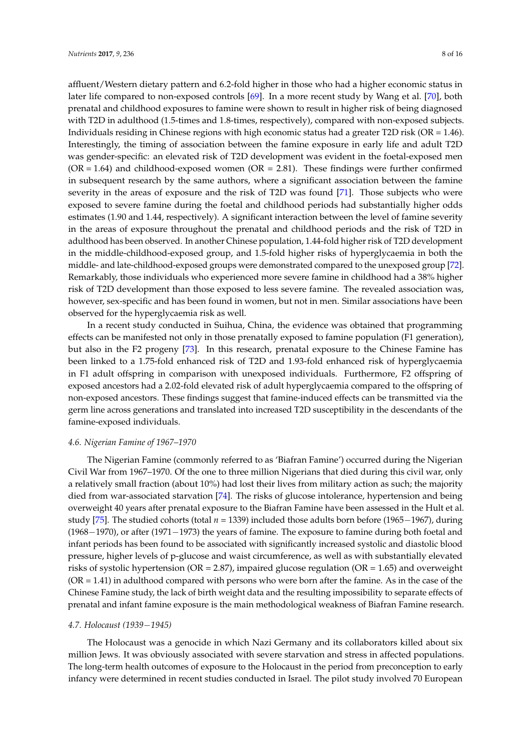affluent/Western dietary pattern and 6.2-fold higher in those who had a higher economic status in later life compared to non-exposed controls [\[69\]](#page-14-0). In a more recent study by Wang et al. [\[70\]](#page-14-1), both prenatal and childhood exposures to famine were shown to result in higher risk of being diagnosed with T2D in adulthood (1.5-times and 1.8-times, respectively), compared with non-exposed subjects. Individuals residing in Chinese regions with high economic status had a greater T2D risk (OR = 1.46). Interestingly, the timing of association between the famine exposure in early life and adult T2D was gender-specific: an elevated risk of T2D development was evident in the foetal-exposed men  $(OR = 1.64)$  and childhood-exposed women  $(OR = 2.81)$ . These findings were further confirmed in subsequent research by the same authors, where a significant association between the famine severity in the areas of exposure and the risk of T2D was found [\[71\]](#page-14-2). Those subjects who were exposed to severe famine during the foetal and childhood periods had substantially higher odds estimates (1.90 and 1.44, respectively). A significant interaction between the level of famine severity in the areas of exposure throughout the prenatal and childhood periods and the risk of T2D in adulthood has been observed. In another Chinese population, 1.44-fold higher risk of T2D development in the middle-childhood-exposed group, and 1.5-fold higher risks of hyperglycaemia in both the middle- and late-childhood-exposed groups were demonstrated compared to the unexposed group [\[72\]](#page-14-3). Remarkably, those individuals who experienced more severe famine in childhood had a 38% higher risk of T2D development than those exposed to less severe famine. The revealed association was, however, sex-specific and has been found in women, but not in men. Similar associations have been observed for the hyperglycaemia risk as well.

In a recent study conducted in Suihua, China, the evidence was obtained that programming effects can be manifested not only in those prenatally exposed to famine population (F1 generation), but also in the F2 progeny [\[73\]](#page-14-4). In this research, prenatal exposure to the Chinese Famine has been linked to a 1.75-fold enhanced risk of T2D and 1.93-fold enhanced risk of hyperglycaemia in F1 adult offspring in comparison with unexposed individuals. Furthermore, F2 offspring of exposed ancestors had a 2.02-fold elevated risk of adult hyperglycaemia compared to the offspring of non-exposed ancestors. These findings suggest that famine-induced effects can be transmitted via the germ line across generations and translated into increased T2D susceptibility in the descendants of the famine-exposed individuals.

## *4.6. Nigerian Famine of 1967–1970*

The Nigerian Famine (commonly referred to as 'Biafran Famine') occurred during the Nigerian Civil War from 1967–1970. Of the one to three million Nigerians that died during this civil war, only a relatively small fraction (about 10%) had lost their lives from military action as such; the majority died from war-associated starvation [\[74\]](#page-14-5). The risks of glucose intolerance, hypertension and being overweight 40 years after prenatal exposure to the Biafran Famine have been assessed in the Hult et al. study [\[75\]](#page-14-6). The studied cohorts (total *n* = 1339) included those adults born before (1965−1967), during (1968−1970), or after (1971−1973) the years of famine. The exposure to famine during both foetal and infant periods has been found to be associated with significantly increased systolic and diastolic blood pressure, higher levels of p-glucose and waist circumference, as well as with substantially elevated risks of systolic hypertension ( $OR = 2.87$ ), impaired glucose regulation ( $OR = 1.65$ ) and overweight  $(OR = 1.41)$  in adulthood compared with persons who were born after the famine. As in the case of the Chinese Famine study, the lack of birth weight data and the resulting impossibility to separate effects of prenatal and infant famine exposure is the main methodological weakness of Biafran Famine research.

#### *4.7. Holocaust (1939*−*1945)*

The Holocaust was a genocide in which Nazi Germany and its collaborators killed about six million Jews. It was obviously associated with severe starvation and stress in affected populations. The long-term health outcomes of exposure to the Holocaust in the period from preconception to early infancy were determined in recent studies conducted in Israel. The pilot study involved 70 European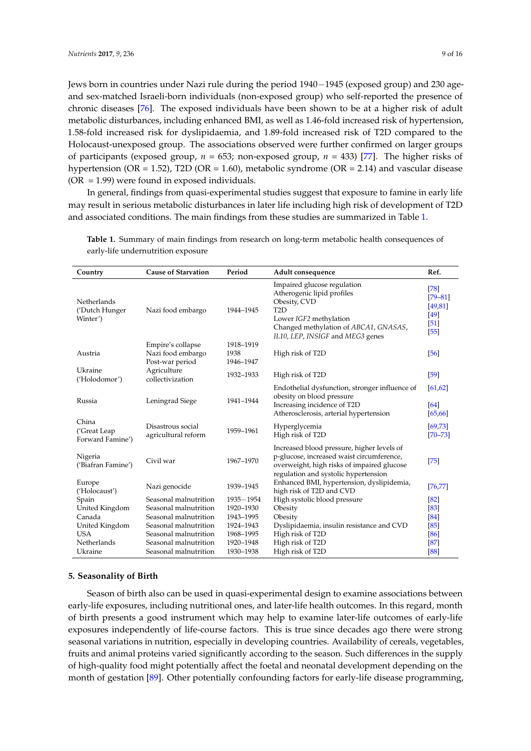Jews born in countries under Nazi rule during the period 1940−1945 (exposed group) and 230 ageand sex-matched Israeli-born individuals (non-exposed group) who self-reported the presence of chronic diseases [\[76\]](#page-14-7). The exposed individuals have been shown to be at a higher risk of adult metabolic disturbances, including enhanced BMI, as well as 1.46-fold increased risk of hypertension, 1.58-fold increased risk for dyslipidaemia, and 1.89-fold increased risk of T2D compared to the Holocaust-unexposed group. The associations observed were further confirmed on larger groups of participants (exposed group,  $n = 653$ ; non-exposed group,  $n = 433$ ) [\[77\]](#page-14-8). The higher risks of hypertension (OR = 1.52), T2D (OR = 1.60), metabolic syndrome (OR = 2.14) and vascular disease  $(OR = 1.99)$  were found in exposed individuals.

In general, findings from quasi-experimental studies suggest that exposure to famine in early life may result in serious metabolic disturbances in later life including high risk of development of T2D and associated conditions. The main findings from these studies are summarized in Table [1.](#page-8-0)

| Country                                   | <b>Cause of Starvation</b>                                | Period                         | Adult consequence                                                                                                                                                                                    | Ref.                                                          |
|-------------------------------------------|-----------------------------------------------------------|--------------------------------|------------------------------------------------------------------------------------------------------------------------------------------------------------------------------------------------------|---------------------------------------------------------------|
| Netherlands<br>('Dutch Hunger<br>Winter') | Nazi food embargo                                         | 1944-1945                      | Impaired glucose regulation<br>Atherogenic lipid profiles<br>Obesity, CVD<br>T <sub>2</sub> D<br>Lower IGF2 methylation<br>Changed methylation of ABCA1, GNASAS,<br>IL10, LEP, INSIGF and MEG3 genes | $[78]$<br>$[79 - 81]$<br>[49, 81]<br>[49]<br>$[51]$<br>$[55]$ |
| Austria                                   | Empire's collapse<br>Nazi food embargo<br>Post-war period | 1918-1919<br>1938<br>1946-1947 | High risk of T2D                                                                                                                                                                                     | [56]                                                          |
| Ukraine<br>('Holodomor')                  | Agriculture<br>collectivization                           | 1932-1933                      | High risk of T2D                                                                                                                                                                                     | [59]                                                          |
| Russia                                    | Leningrad Siege                                           | 1941-1944                      | Endothelial dysfunction, stronger influence of<br>obesity on blood pressure<br>Increasing incidence of T2D<br>Atherosclerosis, arterial hypertension                                                 | [61, 62]<br>[64]<br>[65, 66]                                  |
| China<br>('Great Leap<br>Forward Famine') | Disastrous social<br>agricultural reform                  | 1959-1961                      | Hyperglycemia<br>High risk of T2D                                                                                                                                                                    | [69, 73]<br>$[70 - 73]$                                       |
| Nigeria<br>('Biafran Famine')             | Civil war                                                 | 1967-1970                      | Increased blood pressure, higher levels of<br>p-glucose, increased waist circumference,<br>overweight, high risks of impaired glucose<br>regulation and systolic hypertension                        | $[75]$                                                        |
| Europe<br>('Holocaust')                   | Nazi genocide                                             | 1939-1945                      | Enhanced BMI, hypertension, dyslipidemia,<br>high risk of T2D and CVD                                                                                                                                | [76, 77]                                                      |
| Spain                                     | Seasonal malnutrition                                     | 1935-1954                      | High systolic blood pressure                                                                                                                                                                         | [82]                                                          |
| United Kingdom                            | Seasonal malnutrition                                     | 1920-1930                      | Obesity                                                                                                                                                                                              | [83]                                                          |
| Canada                                    | Seasonal malnutrition                                     | 1943-1995                      | Obesity                                                                                                                                                                                              | [84]                                                          |
| United Kingdom                            | Seasonal malnutrition                                     | 1924-1943                      | Dyslipidaemia, insulin resistance and CVD                                                                                                                                                            | [85]                                                          |
| <b>USA</b>                                | Seasonal malnutrition                                     | 1968-1995                      | High risk of T2D                                                                                                                                                                                     | [86]                                                          |
| Netherlands                               | Seasonal malnutrition                                     | 1920-1948                      | High risk of T2D                                                                                                                                                                                     | [87]                                                          |
| Ukraine                                   | Seasonal malnutrition                                     | 1930-1938                      | High risk of T2D                                                                                                                                                                                     | [88]                                                          |

<span id="page-8-0"></span>**Table 1.** Summary of main findings from research on long-term metabolic health consequences of early-life undernutrition exposure

# **5. Seasonality of Birth**

Season of birth also can be used in quasi-experimental design to examine associations between early-life exposures, including nutritional ones, and later-life health outcomes. In this regard, month of birth presents a good instrument which may help to examine later-life outcomes of early-life exposures independently of life-course factors. This is true since decades ago there were strong seasonal variations in nutrition, especially in developing countries. Availability of cereals, vegetables, fruits and animal proteins varied significantly according to the season. Such differences in the supply of high-quality food might potentially affect the foetal and neonatal development depending on the month of gestation [\[89\]](#page-14-19). Other potentially confounding factors for early-life disease programming,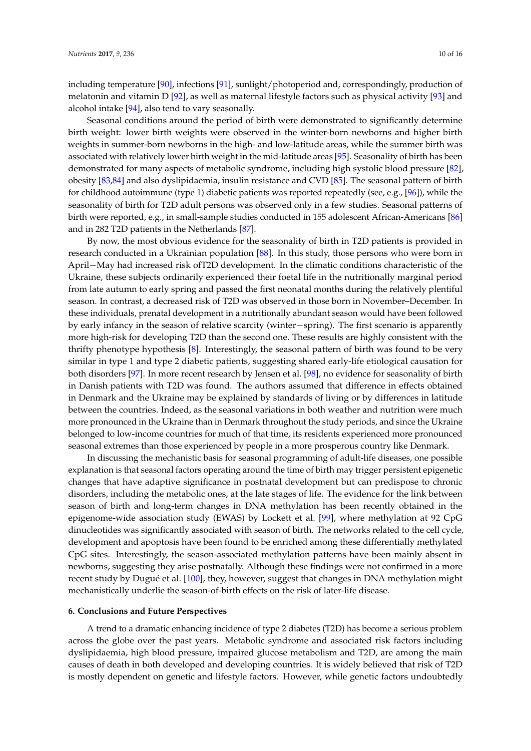including temperature [\[90\]](#page-15-0), infections [\[91\]](#page-15-1), sunlight/photoperiod and, correspondingly, production of melatonin and vitamin D [\[92\]](#page-15-2), as well as maternal lifestyle factors such as physical activity [\[93\]](#page-15-3) and alcohol intake [\[94\]](#page-15-4), also tend to vary seasonally.

Seasonal conditions around the period of birth were demonstrated to significantly determine birth weight: lower birth weights were observed in the winter-born newborns and higher birth weights in summer-born newborns in the high- and low-latitude areas, while the summer birth was associated with relatively lower birth weight in the mid-latitude areas [\[95\]](#page-15-5). Seasonality of birth has been demonstrated for many aspects of metabolic syndrome, including high systolic blood pressure [\[82\]](#page-14-12), obesity [\[83](#page-14-13)[,84\]](#page-14-14) and also dyslipidaemia, insulin resistance and CVD [\[85\]](#page-14-15). The seasonal pattern of birth for childhood autoimmune (type 1) diabetic patients was reported repeatedly (see, e.g., [\[96\]](#page-15-6)), while the seasonality of birth for T2D adult persons was observed only in a few studies. Seasonal patterns of birth were reported, e.g., in small-sample studies conducted in 155 adolescent African-Americans [\[86\]](#page-14-16) and in 282 T2D patients in the Netherlands [\[87\]](#page-14-17).

By now, the most obvious evidence for the seasonality of birth in T2D patients is provided in research conducted in a Ukrainian population [\[88\]](#page-14-18). In this study, those persons who were born in April−May had increased risk ofT2D development. In the climatic conditions characteristic of the Ukraine, these subjects ordinarily experienced their foetal life in the nutritionally marginal period from late autumn to early spring and passed the first neonatal months during the relatively plentiful season. In contrast, a decreased risk of T2D was observed in those born in November–December. In these individuals, prenatal development in a nutritionally abundant season would have been followed by early infancy in the season of relative scarcity (winter−spring). The first scenario is apparently more high-risk for developing T2D than the second one. These results are highly consistent with the thrifty phenotype hypothesis [\[8\]](#page-11-4). Interestingly, the seasonal pattern of birth was found to be very similar in type 1 and type 2 diabetic patients, suggesting shared early-life etiological causation for both disorders [\[97\]](#page-15-7). In more recent research by Jensen et al. [\[98\]](#page-15-8), no evidence for seasonality of birth in Danish patients with T2D was found. The authors assumed that difference in effects obtained in Denmark and the Ukraine may be explained by standards of living or by differences in latitude between the countries. Indeed, as the seasonal variations in both weather and nutrition were much more pronounced in the Ukraine than in Denmark throughout the study periods, and since the Ukraine belonged to low-income countries for much of that time, its residents experienced more pronounced seasonal extremes than those experienced by people in a more prosperous country like Denmark.

In discussing the mechanistic basis for seasonal programming of adult-life diseases, one possible explanation is that seasonal factors operating around the time of birth may trigger persistent epigenetic changes that have adaptive significance in postnatal development but can predispose to chronic disorders, including the metabolic ones, at the late stages of life. The evidence for the link between season of birth and long-term changes in DNA methylation has been recently obtained in the epigenome-wide association study (EWAS) by Lockett et al. [\[99\]](#page-15-9), where methylation at 92 CpG dinucleotides was significantly associated with season of birth. The networks related to the cell cycle, development and apoptosis have been found to be enriched among these differentially methylated CpG sites. Interestingly, the season-associated methylation patterns have been mainly absent in newborns, suggesting they arise postnatally. Although these findings were not confirmed in a more recent study by Dugué et al. [\[100\]](#page-15-10), they, however, suggest that changes in DNA methylation might mechanistically underlie the season-of-birth effects on the risk of later-life disease.

# **6. Conclusions and Future Perspectives**

A trend to a dramatic enhancing incidence of type 2 diabetes (T2D) has become a serious problem across the globe over the past years. Metabolic syndrome and associated risk factors including dyslipidaemia, high blood pressure, impaired glucose metabolism and T2D, are among the main causes of death in both developed and developing countries. It is widely believed that risk of T2D is mostly dependent on genetic and lifestyle factors. However, while genetic factors undoubtedly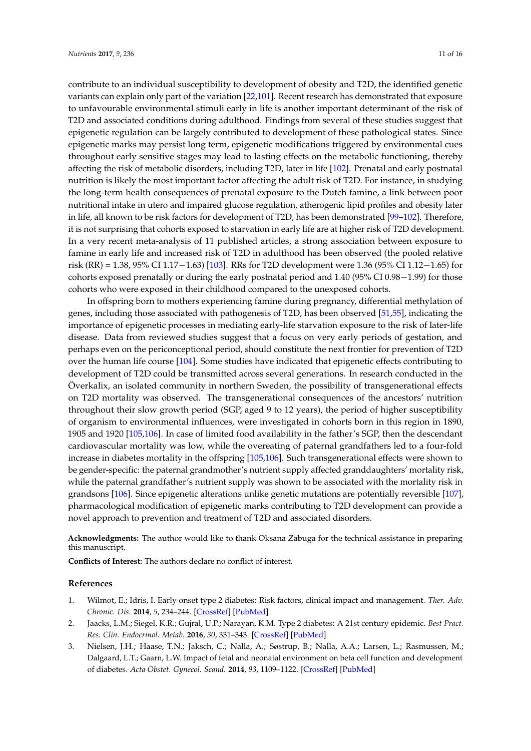contribute to an individual susceptibility to development of obesity and T2D, the identified genetic variants can explain only part of the variation [\[22](#page-11-18)[,101\]](#page-15-11). Recent research has demonstrated that exposure to unfavourable environmental stimuli early in life is another important determinant of the risk of T2D and associated conditions during adulthood. Findings from several of these studies suggest that epigenetic regulation can be largely contributed to development of these pathological states. Since epigenetic marks may persist long term, epigenetic modifications triggered by environmental cues throughout early sensitive stages may lead to lasting effects on the metabolic functioning, thereby affecting the risk of metabolic disorders, including T2D, later in life [\[102\]](#page-15-12). Prenatal and early postnatal nutrition is likely the most important factor affecting the adult risk of T2D. For instance, in studying the long-term health consequences of prenatal exposure to the Dutch famine, a link between poor nutritional intake in utero and impaired glucose regulation, atherogenic lipid profiles and obesity later in life, all known to be risk factors for development of T2D, has been demonstrated [\[99](#page-15-9)[–102\]](#page-15-12). Therefore, it is not surprising that cohorts exposed to starvation in early life are at higher risk of T2D development. In a very recent meta-analysis of 11 published articles, a strong association between exposure to famine in early life and increased risk of T2D in adulthood has been observed (the pooled relative risk (RR) = 1.38, 95% CI 1.17−1.63) [\[103\]](#page-15-13). RRs for T2D development were 1.36 (95% CI 1.12−1.65) for cohorts exposed prenatally or during the early postnatal period and 1.40 (95% CI 0.98−1.99) for those cohorts who were exposed in their childhood compared to the unexposed cohorts.

In offspring born to mothers experiencing famine during pregnancy, differential methylation of genes, including those associated with pathogenesis of T2D, has been observed [\[51,](#page-13-3)[55\]](#page-13-7), indicating the importance of epigenetic processes in mediating early-life starvation exposure to the risk of later-life disease. Data from reviewed studies suggest that a focus on very early periods of gestation, and perhaps even on the periconceptional period, should constitute the next frontier for prevention of T2D over the human life course [\[104\]](#page-15-14). Some studies have indicated that epigenetic effects contributing to development of T2D could be transmitted across several generations. In research conducted in the Överkalix, an isolated community in northern Sweden, the possibility of transgenerational effects on T2D mortality was observed. The transgenerational consequences of the ancestors' nutrition throughout their slow growth period (SGP, aged 9 to 12 years), the period of higher susceptibility of organism to environmental influences, were investigated in cohorts born in this region in 1890, 1905 and 1920 [\[105,](#page-15-15)[106\]](#page-15-16). In case of limited food availability in the father's SGP, then the descendant cardiovascular mortality was low, while the overeating of paternal grandfathers led to a four-fold increase in diabetes mortality in the offspring [\[105,](#page-15-15)[106\]](#page-15-16). Such transgenerational effects were shown to be gender-specific: the paternal grandmother's nutrient supply affected granddaughters' mortality risk, while the paternal grandfather's nutrient supply was shown to be associated with the mortality risk in grandsons [\[106\]](#page-15-16). Since epigenetic alterations unlike genetic mutations are potentially reversible [\[107\]](#page-15-17), pharmacological modification of epigenetic marks contributing to T2D development can provide a novel approach to prevention and treatment of T2D and associated disorders.

**Acknowledgments:** The author would like to thank Oksana Zabuga for the technical assistance in preparing this manuscript.

**Conflicts of Interest:** The authors declare no conflict of interest.

#### **References**

- <span id="page-10-0"></span>1. Wilmot, E.; Idris, I. Early onset type 2 diabetes: Risk factors, clinical impact and management. *Ther. Adv. Chronic. Dis.* **2014**, *5*, 234–244. [\[CrossRef\]](http://dx.doi.org/10.1177/2040622314548679) [\[PubMed\]](http://www.ncbi.nlm.nih.gov/pubmed/25364491)
- <span id="page-10-1"></span>2. Jaacks, L.M.; Siegel, K.R.; Gujral, U.P.; Narayan, K.M. Type 2 diabetes: A 21st century epidemic. *Best Pract. Res. Clin. Endocrinol. Metab.* **2016**, *30*, 331–343. [\[CrossRef\]](http://dx.doi.org/10.1016/j.beem.2016.05.003) [\[PubMed\]](http://www.ncbi.nlm.nih.gov/pubmed/27432069)
- <span id="page-10-2"></span>3. Nielsen, J.H.; Haase, T.N.; Jaksch, C.; Nalla, A.; Søstrup, B.; Nalla, A.A.; Larsen, L.; Rasmussen, M.; Dalgaard, L.T.; Gaarn, L.W. Impact of fetal and neonatal environment on beta cell function and development of diabetes. *Acta Obstet. Gynecol. Scand.* **2014**, *93*, 1109–1122. [\[CrossRef\]](http://dx.doi.org/10.1111/aogs.12504) [\[PubMed\]](http://www.ncbi.nlm.nih.gov/pubmed/25225114)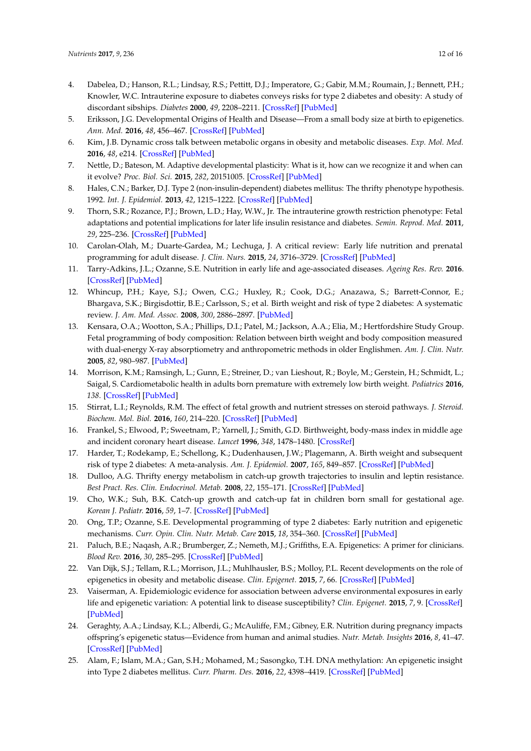- <span id="page-11-0"></span>4. Dabelea, D.; Hanson, R.L.; Lindsay, R.S.; Pettitt, D.J.; Imperatore, G.; Gabir, M.M.; Roumain, J.; Bennett, P.H.; Knowler, W.C. Intrauterine exposure to diabetes conveys risks for type 2 diabetes and obesity: A study of discordant sibships. *Diabetes* **2000**, *49*, 2208–2211. [\[CrossRef\]](http://dx.doi.org/10.2337/diabetes.49.12.2208) [\[PubMed\]](http://www.ncbi.nlm.nih.gov/pubmed/11118027)
- <span id="page-11-1"></span>5. Eriksson, J.G. Developmental Origins of Health and Disease—From a small body size at birth to epigenetics. *Ann. Med.* **2016**, *48*, 456–467. [\[CrossRef\]](http://dx.doi.org/10.1080/07853890.2016.1193786) [\[PubMed\]](http://www.ncbi.nlm.nih.gov/pubmed/27268105)
- <span id="page-11-2"></span>6. Kim, J.B. Dynamic cross talk between metabolic organs in obesity and metabolic diseases. *Exp. Mol. Med.* **2016**, *48*, e214. [\[CrossRef\]](http://dx.doi.org/10.1038/emm.2015.119) [\[PubMed\]](http://www.ncbi.nlm.nih.gov/pubmed/26964830)
- <span id="page-11-3"></span>7. Nettle, D.; Bateson, M. Adaptive developmental plasticity: What is it, how can we recognize it and when can it evolve? *Proc. Biol. Sci.* **2015**, *282*, 20151005. [\[CrossRef\]](http://dx.doi.org/10.1098/rspb.2015.1005) [\[PubMed\]](http://www.ncbi.nlm.nih.gov/pubmed/26203000)
- <span id="page-11-4"></span>8. Hales, C.N.; Barker, D.J. Type 2 (non-insulin-dependent) diabetes mellitus: The thrifty phenotype hypothesis. 1992. *Int. J. Epidemiol.* **2013**, *42*, 1215–1222. [\[CrossRef\]](http://dx.doi.org/10.1093/ije/dyt133) [\[PubMed\]](http://www.ncbi.nlm.nih.gov/pubmed/24159065)
- <span id="page-11-5"></span>9. Thorn, S.R.; Rozance, P.J.; Brown, L.D.; Hay, W.W., Jr. The intrauterine growth restriction phenotype: Fetal adaptations and potential implications for later life insulin resistance and diabetes. *Semin. Reprod. Med.* **2011**, *29*, 225–236. [\[CrossRef\]](http://dx.doi.org/10.1055/s-0031-1275516) [\[PubMed\]](http://www.ncbi.nlm.nih.gov/pubmed/21710398)
- <span id="page-11-6"></span>10. Carolan-Olah, M.; Duarte-Gardea, M.; Lechuga, J. A critical review: Early life nutrition and prenatal programming for adult disease. *J. Clin. Nurs.* **2015**, *24*, 3716–3729. [\[CrossRef\]](http://dx.doi.org/10.1111/jocn.12951) [\[PubMed\]](http://www.ncbi.nlm.nih.gov/pubmed/26255862)
- <span id="page-11-7"></span>11. Tarry-Adkins, J.L.; Ozanne, S.E. Nutrition in early life and age-associated diseases. *Ageing Res. Rev.* **2016**. [\[CrossRef\]](http://dx.doi.org/10.1016/j.arr.2016.08.003) [\[PubMed\]](http://www.ncbi.nlm.nih.gov/pubmed/27594376)
- <span id="page-11-8"></span>12. Whincup, P.H.; Kaye, S.J.; Owen, C.G.; Huxley, R.; Cook, D.G.; Anazawa, S.; Barrett-Connor, E.; Bhargava, S.K.; Birgisdottir, B.E.; Carlsson, S.; et al. Birth weight and risk of type 2 diabetes: A systematic review. *J. Am. Med. Assoc.* **2008**, *300*, 2886–2897. [\[PubMed\]](http://www.ncbi.nlm.nih.gov/pubmed/19109117)
- <span id="page-11-9"></span>13. Kensara, O.A.; Wootton, S.A.; Phillips, D.I.; Patel, M.; Jackson, A.A.; Elia, M.; Hertfordshire Study Group. Fetal programming of body composition: Relation between birth weight and body composition measured with dual-energy X-ray absorptiometry and anthropometric methods in older Englishmen. *Am. J. Clin. Nutr.* **2005**, *82*, 980–987. [\[PubMed\]](http://www.ncbi.nlm.nih.gov/pubmed/16280428)
- <span id="page-11-10"></span>14. Morrison, K.M.; Ramsingh, L.; Gunn, E.; Streiner, D.; van Lieshout, R.; Boyle, M.; Gerstein, H.; Schmidt, L.; Saigal, S. Cardiometabolic health in adults born premature with extremely low birth weight. *Pediatrics* **2016**, *138*. [\[CrossRef\]](http://dx.doi.org/10.1542/peds.2016-0515) [\[PubMed\]](http://www.ncbi.nlm.nih.gov/pubmed/27590899)
- <span id="page-11-11"></span>15. Stirrat, L.I.; Reynolds, R.M. The effect of fetal growth and nutrient stresses on steroid pathways. *J. Steroid. Biochem. Mol. Biol.* **2016**, *160*, 214–220. [\[CrossRef\]](http://dx.doi.org/10.1016/j.jsbmb.2015.07.003) [\[PubMed\]](http://www.ncbi.nlm.nih.gov/pubmed/26196121)
- <span id="page-11-12"></span>16. Frankel, S.; Elwood, P.; Sweetnam, P.; Yarnell, J.; Smith, G.D. Birthweight, body-mass index in middle age and incident coronary heart disease. *Lancet* **1996**, *348*, 1478–1480. [\[CrossRef\]](http://dx.doi.org/10.1016/S0140-6736(96)03482-4)
- <span id="page-11-13"></span>17. Harder, T.; Rodekamp, E.; Schellong, K.; Dudenhausen, J.W.; Plagemann, A. Birth weight and subsequent risk of type 2 diabetes: A meta-analysis. *Am. J. Epidemiol.* **2007**, *165*, 849–857. [\[CrossRef\]](http://dx.doi.org/10.1093/aje/kwk071) [\[PubMed\]](http://www.ncbi.nlm.nih.gov/pubmed/17215379)
- <span id="page-11-14"></span>18. Dulloo, A.G. Thrifty energy metabolism in catch-up growth trajectories to insulin and leptin resistance. *Best Pract. Res. Clin. Endocrinol. Metab.* **2008**, *22*, 155–171. [\[CrossRef\]](http://dx.doi.org/10.1016/j.beem.2007.08.001) [\[PubMed\]](http://www.ncbi.nlm.nih.gov/pubmed/18279786)
- <span id="page-11-15"></span>19. Cho, W.K.; Suh, B.K. Catch-up growth and catch-up fat in children born small for gestational age. *Korean J. Pediatr.* **2016**, *59*, 1–7. [\[CrossRef\]](http://dx.doi.org/10.3345/kjp.2016.59.1.1) [\[PubMed\]](http://www.ncbi.nlm.nih.gov/pubmed/26893597)
- <span id="page-11-16"></span>20. Ong, T.P.; Ozanne, S.E. Developmental programming of type 2 diabetes: Early nutrition and epigenetic mechanisms. *Curr. Opin. Clin. Nutr. Metab. Care* **2015**, *18*, 354–360. [\[CrossRef\]](http://dx.doi.org/10.1097/MCO.0000000000000177) [\[PubMed\]](http://www.ncbi.nlm.nih.gov/pubmed/26049632)
- <span id="page-11-17"></span>21. Paluch, B.E.; Naqash, A.R.; Brumberger, Z.; Nemeth, M.J.; Griffiths, E.A. Epigenetics: A primer for clinicians. *Blood Rev.* **2016**, *30*, 285–295. [\[CrossRef\]](http://dx.doi.org/10.1016/j.blre.2016.02.002) [\[PubMed\]](http://www.ncbi.nlm.nih.gov/pubmed/26969414)
- <span id="page-11-18"></span>22. Van Dijk, S.J.; Tellam, R.L.; Morrison, J.L.; Muhlhausler, B.S.; Molloy, P.L. Recent developments on the role of epigenetics in obesity and metabolic disease. *Clin. Epigenet.* **2015**, *7*, 66. [\[CrossRef\]](http://dx.doi.org/10.1186/s13148-015-0101-5) [\[PubMed\]](http://www.ncbi.nlm.nih.gov/pubmed/27408648)
- <span id="page-11-19"></span>23. Vaiserman, A. Epidemiologic evidence for association between adverse environmental exposures in early life and epigenetic variation: A potential link to disease susceptibility? *Clin. Epigenet.* **2015**, *7*, 9. [\[CrossRef\]](http://dx.doi.org/10.1186/s13148-015-0130-0) [\[PubMed\]](http://www.ncbi.nlm.nih.gov/pubmed/26366233)
- <span id="page-11-20"></span>24. Geraghty, A.A.; Lindsay, K.L.; Alberdi, G.; McAuliffe, F.M.; Gibney, E.R. Nutrition during pregnancy impacts offspring's epigenetic status—Evidence from human and animal studies. *Nutr. Metab. Insights* **2016**, *8*, 41–47. [\[CrossRef\]](http://dx.doi.org/10.4137/NMI.S29527) [\[PubMed\]](http://www.ncbi.nlm.nih.gov/pubmed/26917970)
- <span id="page-11-21"></span>25. Alam, F.; Islam, M.A.; Gan, S.H.; Mohamed, M.; Sasongko, T.H. DNA methylation: An epigenetic insight into Type 2 diabetes mellitus. *Curr. Pharm. Des.* **2016**, *22*, 4398–4419. [\[CrossRef\]](http://dx.doi.org/10.2174/1381612822666160527111152) [\[PubMed\]](http://www.ncbi.nlm.nih.gov/pubmed/27229720)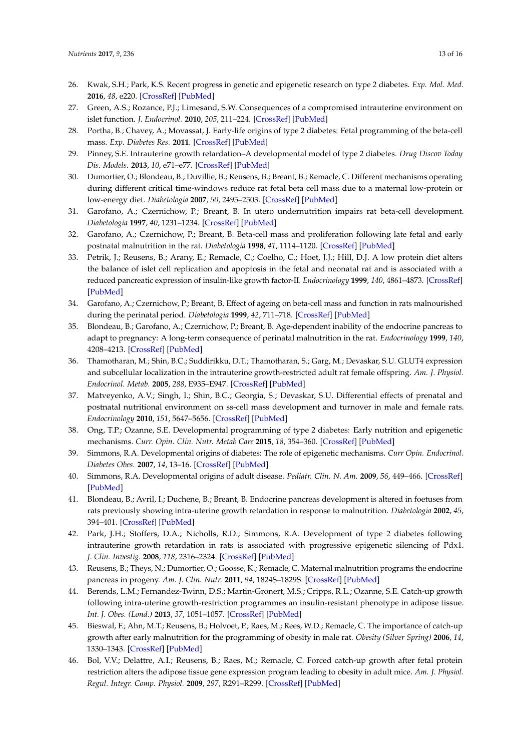- <span id="page-12-0"></span>26. Kwak, S.H.; Park, K.S. Recent progress in genetic and epigenetic research on type 2 diabetes. *Exp. Mol. Med.* **2016**, *48*, e220. [\[CrossRef\]](http://dx.doi.org/10.1038/emm.2016.7) [\[PubMed\]](http://www.ncbi.nlm.nih.gov/pubmed/26964836)
- <span id="page-12-1"></span>27. Green, A.S.; Rozance, P.J.; Limesand, S.W. Consequences of a compromised intrauterine environment on islet function. *J. Endocrinol.* **2010**, *205*, 211–224. [\[CrossRef\]](http://dx.doi.org/10.1677/JOE-09-0399) [\[PubMed\]](http://www.ncbi.nlm.nih.gov/pubmed/20223861)
- 28. Portha, B.; Chavey, A.; Movassat, J. Early-life origins of type 2 diabetes: Fetal programming of the beta-cell mass. *Exp. Diabetes Res.* **2011**. [\[CrossRef\]](http://dx.doi.org/10.1155/2011/105076) [\[PubMed\]](http://www.ncbi.nlm.nih.gov/pubmed/22110471)
- <span id="page-12-2"></span>29. Pinney, S.E. Intrauterine growth retardation–A developmental model of type 2 diabetes. *Drug Discov Today Dis. Models.* **2013**, *10*, e71–e77. [\[CrossRef\]](http://dx.doi.org/10.1016/j.ddmod.2013.01.003) [\[PubMed\]](http://www.ncbi.nlm.nih.gov/pubmed/24949076)
- <span id="page-12-3"></span>30. Dumortier, O.; Blondeau, B.; Duvillie, B.; Reusens, B.; Breant, B.; Remacle, C. Different mechanisms operating during different critical time-windows reduce rat fetal beta cell mass due to a maternal low-protein or low-energy diet. *Diabetologia* **2007**, *50*, 2495–2503. [\[CrossRef\]](http://dx.doi.org/10.1007/s00125-007-0811-0) [\[PubMed\]](http://www.ncbi.nlm.nih.gov/pubmed/17882398)
- 31. Garofano, A.; Czernichow, P.; Breant, B. In utero undernutrition impairs rat beta-cell development. *Diabetologia* **1997**, *40*, 1231–1234. [\[CrossRef\]](http://dx.doi.org/10.1007/s001250050812) [\[PubMed\]](http://www.ncbi.nlm.nih.gov/pubmed/9349607)
- 32. Garofano, A.; Czernichow, P.; Breant, B. Beta-cell mass and proliferation following late fetal and early postnatal malnutrition in the rat. *Diabetologia* **1998**, *41*, 1114–1120. [\[CrossRef\]](http://dx.doi.org/10.1007/s001250051038) [\[PubMed\]](http://www.ncbi.nlm.nih.gov/pubmed/9754832)
- <span id="page-12-4"></span>33. Petrik, J.; Reusens, B.; Arany, E.; Remacle, C.; Coelho, C.; Hoet, J.J.; Hill, D.J. A low protein diet alters the balance of islet cell replication and apoptosis in the fetal and neonatal rat and is associated with a reduced pancreatic expression of insulin-like growth factor-II. *Endocrinology* **1999**, *140*, 4861–4873. [\[CrossRef\]](http://dx.doi.org/10.1210/en.140.10.4861) [\[PubMed\]](http://www.ncbi.nlm.nih.gov/pubmed/28200549)
- <span id="page-12-5"></span>34. Garofano, A.; Czernichow, P.; Breant, B. Effect of ageing on beta-cell mass and function in rats malnourished during the perinatal period. *Diabetologia* **1999**, *42*, 711–718. [\[CrossRef\]](http://dx.doi.org/10.1007/s001250051219) [\[PubMed\]](http://www.ncbi.nlm.nih.gov/pubmed/10382591)
- <span id="page-12-6"></span>35. Blondeau, B.; Garofano, A.; Czernichow, P.; Breant, B. Age-dependent inability of the endocrine pancreas to adapt to pregnancy: A long-term consequence of perinatal malnutrition in the rat. *Endocrinology* **1999**, *140*, 4208–4213. [\[CrossRef\]](http://dx.doi.org/10.1210/en.140.9.4208) [\[PubMed\]](http://www.ncbi.nlm.nih.gov/pubmed/28200680)
- <span id="page-12-7"></span>36. Thamotharan, M.; Shin, B.C.; Suddirikku, D.T.; Thamotharan, S.; Garg, M.; Devaskar, S.U. GLUT4 expression and subcellular localization in the intrauterine growth-restricted adult rat female offspring. *Am. J. Physiol. Endocrinol. Metab.* **2005**, *288*, E935–E947. [\[CrossRef\]](http://dx.doi.org/10.1152/ajpendo.00342.2004) [\[PubMed\]](http://www.ncbi.nlm.nih.gov/pubmed/15625086)
- <span id="page-12-8"></span>37. Matveyenko, A.V.; Singh, I.; Shin, B.C.; Georgia, S.; Devaskar, S.U. Differential effects of prenatal and postnatal nutritional environment on ss-cell mass development and turnover in male and female rats. *Endocrinology* **2010**, *151*, 5647–5656. [\[CrossRef\]](http://dx.doi.org/10.1210/en.2010-0978) [\[PubMed\]](http://www.ncbi.nlm.nih.gov/pubmed/21047942)
- <span id="page-12-9"></span>38. Ong, T.P.; Ozanne, S.E. Developmental programming of type 2 diabetes: Early nutrition and epigenetic mechanisms. *Curr. Opin. Clin. Nutr. Metab Care* **2015**, *18*, 354–360. [\[CrossRef\]](http://dx.doi.org/10.1097/MCO.0000000000000177) [\[PubMed\]](http://www.ncbi.nlm.nih.gov/pubmed/26049632)
- <span id="page-12-11"></span>39. Simmons, R.A. Developmental origins of diabetes: The role of epigenetic mechanisms. *Curr Opin. Endocrinol. Diabetes Obes.* **2007**, *14*, 13–16. [\[CrossRef\]](http://dx.doi.org/10.1097/MED.0b013e328013da5b) [\[PubMed\]](http://www.ncbi.nlm.nih.gov/pubmed/17940413)
- <span id="page-12-10"></span>40. Simmons, R.A. Developmental origins of adult disease. *Pediatr. Clin. N. Am.* **2009**, *56*, 449–466. [\[CrossRef\]](http://dx.doi.org/10.1016/j.pcl.2009.03.004) [\[PubMed\]](http://www.ncbi.nlm.nih.gov/pubmed/19501686)
- <span id="page-12-12"></span>41. Blondeau, B.; Avril, I.; Duchene, B.; Breant, B. Endocrine pancreas development is altered in foetuses from rats previously showing intra-uterine growth retardation in response to malnutrition. *Diabetologia* **2002**, *45*, 394–401. [\[CrossRef\]](http://dx.doi.org/10.1007/s00125-001-0767-4) [\[PubMed\]](http://www.ncbi.nlm.nih.gov/pubmed/11914745)
- <span id="page-12-13"></span>42. Park, J.H.; Stoffers, D.A.; Nicholls, R.D.; Simmons, R.A. Development of type 2 diabetes following intrauterine growth retardation in rats is associated with progressive epigenetic silencing of Pdx1. *J. Clin. Investig.* **2008**, *118*, 2316–2324. [\[CrossRef\]](http://dx.doi.org/10.1172/JCI33655) [\[PubMed\]](http://www.ncbi.nlm.nih.gov/pubmed/18464933)
- <span id="page-12-14"></span>43. Reusens, B.; Theys, N.; Dumortier, O.; Goosse, K.; Remacle, C. Maternal malnutrition programs the endocrine pancreas in progeny. *Am. J. Clin. Nutr.* **2011**, *94*, 1824S–1829S. [\[CrossRef\]](http://dx.doi.org/10.3945/ajcn.110.000729) [\[PubMed\]](http://www.ncbi.nlm.nih.gov/pubmed/21562089)
- <span id="page-12-15"></span>44. Berends, L.M.; Fernandez-Twinn, D.S.; Martin-Gronert, M.S.; Cripps, R.L.; Ozanne, S.E. Catch-up growth following intra-uterine growth-restriction programmes an insulin-resistant phenotype in adipose tissue. *Int. J. Obes. (Lond.)* **2013**, *37*, 1051–1057. [\[CrossRef\]](http://dx.doi.org/10.1038/ijo.2012.196) [\[PubMed\]](http://www.ncbi.nlm.nih.gov/pubmed/23229735)
- <span id="page-12-16"></span>45. Bieswal, F.; Ahn, M.T.; Reusens, B.; Holvoet, P.; Raes, M.; Rees, W.D.; Remacle, C. The importance of catch-up growth after early malnutrition for the programming of obesity in male rat. *Obesity (Silver Spring)* **2006**, *14*, 1330–1343. [\[CrossRef\]](http://dx.doi.org/10.1038/oby.2006.151) [\[PubMed\]](http://www.ncbi.nlm.nih.gov/pubmed/16988075)
- <span id="page-12-17"></span>46. Bol, V.V.; Delattre, A.I.; Reusens, B.; Raes, M.; Remacle, C. Forced catch-up growth after fetal protein restriction alters the adipose tissue gene expression program leading to obesity in adult mice. *Am. J. Physiol. Regul. Integr. Comp. Physiol.* **2009**, *297*, R291–R299. [\[CrossRef\]](http://dx.doi.org/10.1152/ajpregu.90497.2008) [\[PubMed\]](http://www.ncbi.nlm.nih.gov/pubmed/19458276)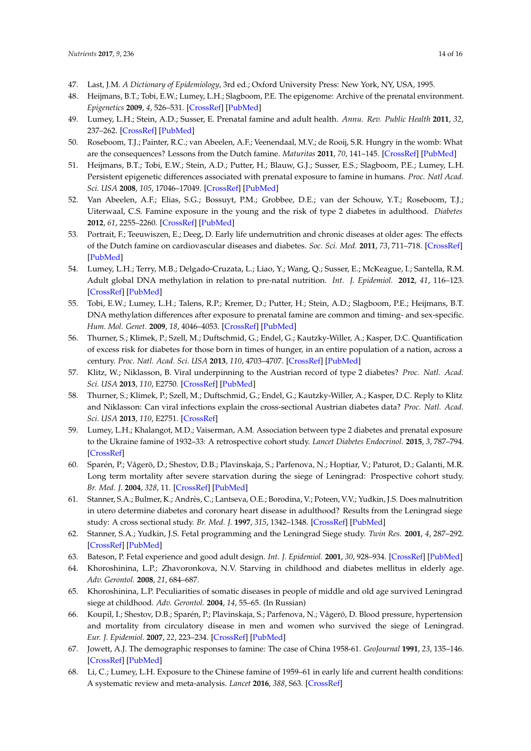- <span id="page-13-0"></span>47. Last, J.M. *A Dictionary of Epidemiology*, 3rd ed.; Oxford University Press: New York, NY, USA, 1995.
- <span id="page-13-1"></span>48. Heijmans, B.T.; Tobi, E.W.; Lumey, L.H.; Slagboom, P.E. The epigenome: Archive of the prenatal environment. *Epigenetics* **2009**, *4*, 526–531. [\[CrossRef\]](http://dx.doi.org/10.4161/epi.4.8.10265) [\[PubMed\]](http://www.ncbi.nlm.nih.gov/pubmed/19923908)
- <span id="page-13-21"></span>49. Lumey, L.H.; Stein, A.D.; Susser, E. Prenatal famine and adult health. *Annu. Rev. Public Health* **2011**, *32*, 237–262. [\[CrossRef\]](http://dx.doi.org/10.1146/annurev-publhealth-031210-101230) [\[PubMed\]](http://www.ncbi.nlm.nih.gov/pubmed/21219171)
- <span id="page-13-2"></span>50. Roseboom, T.J.; Painter, R.C.; van Abeelen, A.F.; Veenendaal, M.V.; de Rooij, S.R. Hungry in the womb: What are the consequences? Lessons from the Dutch famine. *Maturitas* **2011**, *70*, 141–145. [\[CrossRef\]](http://dx.doi.org/10.1016/j.maturitas.2011.06.017) [\[PubMed\]](http://www.ncbi.nlm.nih.gov/pubmed/21802226)
- <span id="page-13-3"></span>51. Heijmans, B.T.; Tobi, E.W.; Stein, A.D.; Putter, H.; Blauw, G.J.; Susser, E.S.; Slagboom, P.E.; Lumey, L.H. Persistent epigenetic differences associated with prenatal exposure to famine in humans. *Proc. Natl Acad. Sci. USA* **2008**, *105*, 17046–17049. [\[CrossRef\]](http://dx.doi.org/10.1073/pnas.0806560105) [\[PubMed\]](http://www.ncbi.nlm.nih.gov/pubmed/18955703)
- <span id="page-13-4"></span>52. Van Abeelen, A.F.; Elias, S.G.; Bossuyt, P.M.; Grobbee, D.E.; van der Schouw, Y.T.; Roseboom, T.J.; Uiterwaal, C.S. Famine exposure in the young and the risk of type 2 diabetes in adulthood. *Diabetes* **2012**, *61*, 2255–2260. [\[CrossRef\]](http://dx.doi.org/10.2337/db11-1559) [\[PubMed\]](http://www.ncbi.nlm.nih.gov/pubmed/22648386)
- <span id="page-13-5"></span>53. Portrait, F.; Teeuwiszen, E.; Deeg, D. Early life undernutrition and chronic diseases at older ages: The effects of the Dutch famine on cardiovascular diseases and diabetes. *Soc. Sci. Med.* **2011**, *73*, 711–718. [\[CrossRef\]](http://dx.doi.org/10.1016/j.socscimed.2011.04.005) [\[PubMed\]](http://www.ncbi.nlm.nih.gov/pubmed/21816529)
- <span id="page-13-6"></span>54. Lumey, L.H.; Terry, M.B.; Delgado-Cruzata, L.; Liao, Y.; Wang, Q.; Susser, E.; McKeague, I.; Santella, R.M. Adult global DNA methylation in relation to pre-natal nutrition. *Int. J. Epidemiol.* **2012**, *41*, 116–123. [\[CrossRef\]](http://dx.doi.org/10.1093/ije/dyr137) [\[PubMed\]](http://www.ncbi.nlm.nih.gov/pubmed/22422450)
- <span id="page-13-7"></span>55. Tobi, E.W.; Lumey, L.H.; Talens, R.P.; Kremer, D.; Putter, H.; Stein, A.D.; Slagboom, P.E.; Heijmans, B.T. DNA methylation differences after exposure to prenatal famine are common and timing- and sex-specific. *Hum. Mol. Genet.* **2009**, *18*, 4046–4053. [\[CrossRef\]](http://dx.doi.org/10.1093/hmg/ddp353) [\[PubMed\]](http://www.ncbi.nlm.nih.gov/pubmed/19656776)
- <span id="page-13-8"></span>56. Thurner, S.; Klimek, P.; Szell, M.; Duftschmid, G.; Endel, G.; Kautzky-Willer, A.; Kasper, D.C. Quantification of excess risk for diabetes for those born in times of hunger, in an entire population of a nation, across a century. *Proc. Natl. Acad. Sci. USA* **2013**, *110*, 4703–4707. [\[CrossRef\]](http://dx.doi.org/10.1073/pnas.1215626110) [\[PubMed\]](http://www.ncbi.nlm.nih.gov/pubmed/23487754)
- <span id="page-13-9"></span>57. Klitz, W.; Niklasson, B. Viral underpinning to the Austrian record of type 2 diabetes? *Proc. Natl. Acad. Sci. USA* **2013**, *110*, E2750. [\[CrossRef\]](http://dx.doi.org/10.1073/pnas.1305074110) [\[PubMed\]](http://www.ncbi.nlm.nih.gov/pubmed/23723352)
- <span id="page-13-10"></span>58. Thurner, S.; Klimek, P.; Szell, M.; Duftschmid, G.; Endel, G.; Kautzky-Willer, A.; Kasper, D.C. Reply to Klitz and Niklasson: Can viral infections explain the cross-sectional Austrian diabetes data? *Proc. Natl. Acad. Sci. USA* **2013**, *110*, E2751. [\[CrossRef\]](http://dx.doi.org/10.1073/pnas.1305494110)
- <span id="page-13-11"></span>59. Lumey, L.H.; Khalangot, M.D.; Vaiserman, A.M. Association between type 2 diabetes and prenatal exposure to the Ukraine famine of 1932–33: A retrospective cohort study. *Lancet Diabetes Endocrinol.* **2015**, *3*, 787–794. [\[CrossRef\]](http://dx.doi.org/10.1016/S2213-8587(15)00279-X)
- <span id="page-13-12"></span>60. Sparén, P.; Vågerö, D.; Shestov, D.B.; Plavinskaja, S.; Parfenova, N.; Hoptiar, V.; Paturot, D.; Galanti, M.R. Long term mortality after severe starvation during the siege of Leningrad: Prospective cohort study. *Br. Med. J.* **2004**, *328*, 11. [\[CrossRef\]](http://dx.doi.org/10.1136/bmj.37942.603970.9A) [\[PubMed\]](http://www.ncbi.nlm.nih.gov/pubmed/14660443)
- <span id="page-13-13"></span>61. Stanner, S.A.; Bulmer, K.; Andrès, C.; Lantseva, O.E.; Borodina, V.; Poteen, V.V.; Yudkin, J.S. Does malnutrition in utero determine diabetes and coronary heart disease in adulthood? Results from the Leningrad siege study: A cross sectional study. *Br. Med. J.* **1997**, *315*, 1342–1348. [\[CrossRef\]](http://dx.doi.org/10.1136/bmj.315.7119.1342) [\[PubMed\]](http://www.ncbi.nlm.nih.gov/pubmed/9402775)
- <span id="page-13-14"></span>62. Stanner, S.A.; Yudkin, J.S. Fetal programming and the Leningrad Siege study. *Twin Res.* **2001**, *4*, 287–292. [\[CrossRef\]](http://dx.doi.org/10.1375/1369052012498) [\[PubMed\]](http://www.ncbi.nlm.nih.gov/pubmed/11913363)
- <span id="page-13-15"></span>63. Bateson, P. Fetal experience and good adult design. *Int. J. Epidemiol.* **2001**, *30*, 928–934. [\[CrossRef\]](http://dx.doi.org/10.1093/ije/30.5.928) [\[PubMed\]](http://www.ncbi.nlm.nih.gov/pubmed/11689495)
- <span id="page-13-16"></span>64. Khoroshinina, L.P.; Zhavoronkova, N.V. Starving in childhood and diabetes mellitus in elderly age. *Adv. Gerontol.* **2008**, *21*, 684–687.
- <span id="page-13-17"></span>65. Khoroshinina, L.P. Peculiarities of somatic diseases in people of middle and old age survived Leningrad siege at childhood. *Adv. Gerontol.* **2004**, *14*, 55–65. (In Russian)
- <span id="page-13-18"></span>66. Koupil, I.; Shestov, D.B.; Sparén, P.; Plavinskaja, S.; Parfenova, N.; Vågerö, D. Blood pressure, hypertension and mortality from circulatory disease in men and women who survived the siege of Leningrad. *Eur. J. Epidemiol.* **2007**, *22*, 223–234. [\[CrossRef\]](http://dx.doi.org/10.1007/s10654-007-9113-6) [\[PubMed\]](http://www.ncbi.nlm.nih.gov/pubmed/17436055)
- <span id="page-13-19"></span>67. Jowett, A.J. The demographic responses to famine: The case of China 1958-61. *GeoJournal* **1991**, *23*, 135–146. [\[CrossRef\]](http://dx.doi.org/10.1007/BF00241398) [\[PubMed\]](http://www.ncbi.nlm.nih.gov/pubmed/12317880)
- <span id="page-13-20"></span>68. Li, C.; Lumey, L.H. Exposure to the Chinese famine of 1959–61 in early life and current health conditions: A systematic review and meta-analysis. *Lancet* **2016**, *388*, S63. [\[CrossRef\]](http://dx.doi.org/10.1016/S0140-6736(16)31990-0)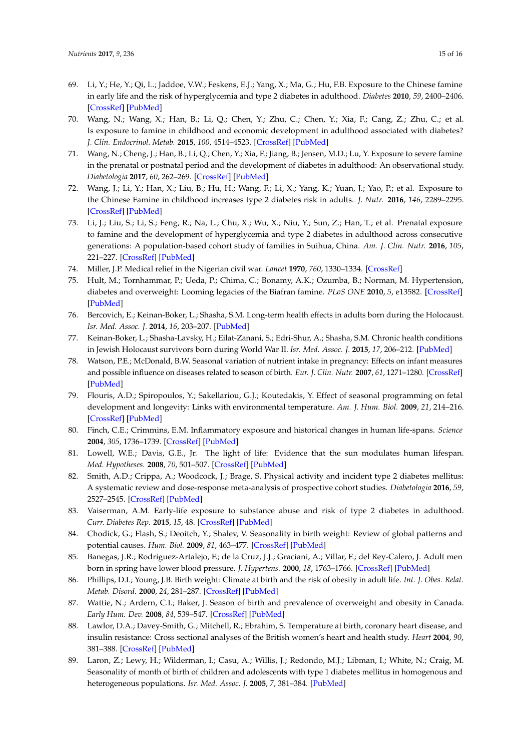- <span id="page-14-0"></span>69. Li, Y.; He, Y.; Qi, L.; Jaddoe, V.W.; Feskens, E.J.; Yang, X.; Ma, G.; Hu, F.B. Exposure to the Chinese famine in early life and the risk of hyperglycemia and type 2 diabetes in adulthood. *Diabetes* **2010**, *59*, 2400–2406. [\[CrossRef\]](http://dx.doi.org/10.2337/db10-0385) [\[PubMed\]](http://www.ncbi.nlm.nih.gov/pubmed/20622161)
- <span id="page-14-1"></span>70. Wang, N.; Wang, X.; Han, B.; Li, Q.; Chen, Y.; Zhu, C.; Chen, Y.; Xia, F.; Cang, Z.; Zhu, C.; et al. Is exposure to famine in childhood and economic development in adulthood associated with diabetes? *J. Clin. Endocrinol. Metab.* **2015**, *100*, 4514–4523. [\[CrossRef\]](http://dx.doi.org/ 10.1210/jc.2015-2750) [\[PubMed\]](http://www.ncbi.nlm.nih.gov/pubmed/26509871)
- <span id="page-14-2"></span>71. Wang, N.; Cheng, J.; Han, B.; Li, Q.; Chen, Y.; Xia, F.; Jiang, B.; Jensen, M.D.; Lu, Y. Exposure to severe famine in the prenatal or postnatal period and the development of diabetes in adulthood: An observational study. *Diabetologia* **2017**, *60*, 262–269. [\[CrossRef\]](http://dx.doi.org/10.1007/s00125-016-4148-4) [\[PubMed\]](http://www.ncbi.nlm.nih.gov/pubmed/27807599)
- <span id="page-14-3"></span>72. Wang, J.; Li, Y.; Han, X.; Liu, B.; Hu, H.; Wang, F.; Li, X.; Yang, K.; Yuan, J.; Yao, P.; et al. Exposure to the Chinese Famine in childhood increases type 2 diabetes risk in adults. *J. Nutr.* **2016**, *146*, 2289–2295. [\[CrossRef\]](http://dx.doi.org/10.3945/jn.116.234575) [\[PubMed\]](http://www.ncbi.nlm.nih.gov/pubmed/27629572)
- <span id="page-14-4"></span>73. Li, J.; Liu, S.; Li, S.; Feng, R.; Na, L.; Chu, X.; Wu, X.; Niu, Y.; Sun, Z.; Han, T.; et al. Prenatal exposure to famine and the development of hyperglycemia and type 2 diabetes in adulthood across consecutive generations: A population-based cohort study of families in Suihua, China. *Am. J. Clin. Nutr.* **2016**, *105*, 221–227. [\[CrossRef\]](http://dx.doi.org/10.3945/ajcn.116.138792) [\[PubMed\]](http://www.ncbi.nlm.nih.gov/pubmed/27927634)
- <span id="page-14-5"></span>74. Miller, J.P. Medical relief in the Nigerian civil war. *Lancet* **1970**, *760*, 1330–1334. [\[CrossRef\]](http://dx.doi.org/10.1016/S0140-6736(70)91921-5)
- <span id="page-14-6"></span>75. Hult, M.; Tornhammar, P.; Ueda, P.; Chima, C.; Bonamy, A.K.; Ozumba, B.; Norman, M. Hypertension, diabetes and overweight: Looming legacies of the Biafran famine. *PLoS ONE* **2010**, *5*, e13582. [\[CrossRef\]](http://dx.doi.org/10.1371/journal.pone.0013582) [\[PubMed\]](http://www.ncbi.nlm.nih.gov/pubmed/21042579)
- <span id="page-14-7"></span>76. Bercovich, E.; Keinan-Boker, L.; Shasha, S.M. Long-term health effects in adults born during the Holocaust. *Isr. Med. Assoc. J.* **2014**, *16*, 203–207. [\[PubMed\]](http://www.ncbi.nlm.nih.gov/pubmed/24834754)
- <span id="page-14-8"></span>77. Keinan-Boker, L.; Shasha-Lavsky, H.; Eilat-Zanani, S.; Edri-Shur, A.; Shasha, S.M. Chronic health conditions in Jewish Holocaust survivors born during World War II. *Isr. Med. Assoc. J.* **2015**, *17*, 206–212. [\[PubMed\]](http://www.ncbi.nlm.nih.gov/pubmed/26040044)
- <span id="page-14-9"></span>78. Watson, P.E.; McDonald, B.W. Seasonal variation of nutrient intake in pregnancy: Effects on infant measures and possible influence on diseases related to season of birth. *Eur. J. Clin. Nutr.* **2007**, *61*, 1271–1280. [\[CrossRef\]](http://dx.doi.org/10.1038/sj.ejcn.1602644) [\[PubMed\]](http://www.ncbi.nlm.nih.gov/pubmed/17299488)
- <span id="page-14-10"></span>79. Flouris, A.D.; Spiropoulos, Y.; Sakellariou, G.J.; Koutedakis, Y. Effect of seasonal programming on fetal development and longevity: Links with environmental temperature. *Am. J. Hum. Biol.* **2009**, *21*, 214–216. [\[CrossRef\]](http://dx.doi.org/10.1002/ajhb.20818) [\[PubMed\]](http://www.ncbi.nlm.nih.gov/pubmed/19194861)
- 80. Finch, C.E.; Crimmins, E.M. Inflammatory exposure and historical changes in human life-spans. *Science* **2004**, *305*, 1736–1739. [\[CrossRef\]](http://dx.doi.org/10.1126/science.1092556) [\[PubMed\]](http://www.ncbi.nlm.nih.gov/pubmed/15375259)
- <span id="page-14-11"></span>81. Lowell, W.E.; Davis, G.E., Jr. The light of life: Evidence that the sun modulates human lifespan. *Med. Hypotheses.* **2008**, *70*, 501–507. [\[CrossRef\]](http://dx.doi.org/10.1016/j.mehy.2007.05.053) [\[PubMed\]](http://www.ncbi.nlm.nih.gov/pubmed/17951015)
- <span id="page-14-12"></span>82. Smith, A.D.; Crippa, A.; Woodcock, J.; Brage, S. Physical activity and incident type 2 diabetes mellitus: A systematic review and dose-response meta-analysis of prospective cohort studies. *Diabetologia* **2016**, *59*, 2527–2545. [\[CrossRef\]](http://dx.doi.org/10.1007/s00125-016-4079-0) [\[PubMed\]](http://www.ncbi.nlm.nih.gov/pubmed/27747395)
- <span id="page-14-13"></span>83. Vaiserman, A.M. Early-life exposure to substance abuse and risk of type 2 diabetes in adulthood. *Curr. Diabetes Rep.* **2015**, *15*, 48. [\[CrossRef\]](http://dx.doi.org/10.1007/s11892-015-0624-3) [\[PubMed\]](http://www.ncbi.nlm.nih.gov/pubmed/26077016)
- <span id="page-14-14"></span>84. Chodick, G.; Flash, S.; Deoitch, Y.; Shalev, V. Seasonality in birth weight: Review of global patterns and potential causes. *Hum. Biol.* **2009**, *81*, 463–477. [\[CrossRef\]](http://dx.doi.org/10.3378/027.081.0405) [\[PubMed\]](http://www.ncbi.nlm.nih.gov/pubmed/20067370)
- <span id="page-14-15"></span>85. Banegas, J.R.; Rodríguez-Artalejo, F.; de la Cruz, J.J.; Graciani, A.; Villar, F.; del Rey-Calero, J. Adult men born in spring have lower blood pressure. *J. Hypertens.* **2000**, *18*, 1763–1766. [\[CrossRef\]](http://dx.doi.org/10.1097/00004872-200018120-00009) [\[PubMed\]](http://www.ncbi.nlm.nih.gov/pubmed/11132599)
- <span id="page-14-16"></span>86. Phillips, D.I.; Young, J.B. Birth weight: Climate at birth and the risk of obesity in adult life. *Int. J. Obes. Relat. Metab. Disord.* **2000**, *24*, 281–287. [\[CrossRef\]](http://dx.doi.org/10.1038/sj.ijo.0801125) [\[PubMed\]](http://www.ncbi.nlm.nih.gov/pubmed/10757620)
- <span id="page-14-17"></span>87. Wattie, N.; Ardern, C.I.; Baker, J. Season of birth and prevalence of overweight and obesity in Canada. *Early Hum. Dev.* **2008**, *84*, 539–547. [\[CrossRef\]](http://dx.doi.org/10.1016/j.earlhumdev.2007.12.010) [\[PubMed\]](http://www.ncbi.nlm.nih.gov/pubmed/18280062)
- <span id="page-14-18"></span>88. Lawlor, D.A.; Davey-Smith, G.; Mitchell, R.; Ebrahim, S. Temperature at birth, coronary heart disease, and insulin resistance: Cross sectional analyses of the British women's heart and health study. *Heart* **2004**, *90*, 381–388. [\[CrossRef\]](http://dx.doi.org/10.1136/hrt.2002.009548) [\[PubMed\]](http://www.ncbi.nlm.nih.gov/pubmed/15020510)
- <span id="page-14-19"></span>89. Laron, Z.; Lewy, H.; Wilderman, I.; Casu, A.; Willis, J.; Redondo, M.J.; Libman, I.; White, N.; Craig, M. Seasonality of month of birth of children and adolescents with type 1 diabetes mellitus in homogenous and heterogeneous populations. *Isr. Med. Assoc. J.* **2005**, *7*, 381–384. [\[PubMed\]](http://www.ncbi.nlm.nih.gov/pubmed/15984382)